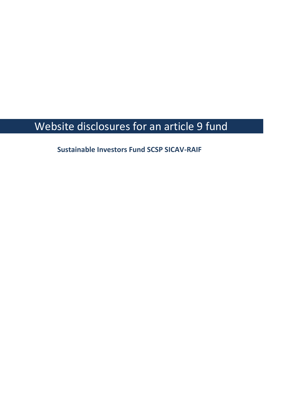## Website disclosures for an article 9 fund

**Sustainable Investors Fund SCSP SICAV-RAIF**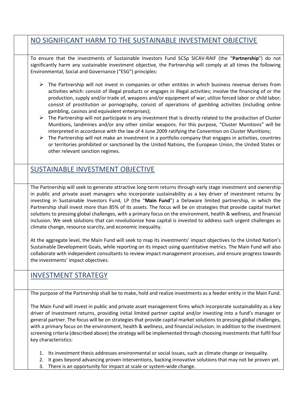| NO SIGNIFICANT HARM TO THE SUSTAINABLE INVESTMENT OBJECTIVE                                                                                                                                                                                                                                                                                                                                                                                                                                                                                                                                                                                                                                                                                                                                                                                                                                                                                                                                                                                                                                                                         |
|-------------------------------------------------------------------------------------------------------------------------------------------------------------------------------------------------------------------------------------------------------------------------------------------------------------------------------------------------------------------------------------------------------------------------------------------------------------------------------------------------------------------------------------------------------------------------------------------------------------------------------------------------------------------------------------------------------------------------------------------------------------------------------------------------------------------------------------------------------------------------------------------------------------------------------------------------------------------------------------------------------------------------------------------------------------------------------------------------------------------------------------|
| To ensure that the investments of Sustainable Investors Fund SCSp SICAV-RAIF (the "Partnership") do not<br>significantly harm any sustainable investment objective, the Partnership will comply at all times the following<br>Environmental, Social and Governance ("ESG") principles:                                                                                                                                                                                                                                                                                                                                                                                                                                                                                                                                                                                                                                                                                                                                                                                                                                              |
| $\triangleright$ The Partnership will not invest in companies or other entities in which business revenue derives from<br>activities which: consist of illegal products or engages in illegal activities; involve the financing of or the<br>production, supply and/or trade of, weapons and/or equipment of war; utilize forced labor or child labor;<br>consist of prostitution or pornography, consist of operations of gambling activities (including online<br>gambling, casinos and equivalent enterprises);<br>$\triangleright$ The Partnership will not participate in any investment that is directly related to the production of Cluster<br>Munitions, landmines and/or any other similar weapons. For this purpose, "Cluster Munitions" will be<br>interpreted in accordance with the law of 4 June 2009 ratifying the Convention on Cluster Munitions;<br>The Partnership will not make an investment in a portfolio company that engages in activities, countries<br>➤<br>or territories prohibited or sanctioned by the United Nations, the European Union, the United States or<br>other relevant sanction regimes. |
| SUSTAINABLE INVESTMENT OBJECTIVE                                                                                                                                                                                                                                                                                                                                                                                                                                                                                                                                                                                                                                                                                                                                                                                                                                                                                                                                                                                                                                                                                                    |
| The Partnership will seek to generate attractive long-term returns through early stage investment and ownership<br>in public and private asset managers who incorporate sustainability as a key driver of investment returns by<br>investing in Sustainable Investors Fund, LP (the "Main Fund") a Delaware limited partnership, in which the<br>Partnership shall invest more than 85% of its assets. The focus will be on strategies that provide capital market<br>solutions to pressing global challenges, with a primary focus on the environment, health & wellness, and financial<br>inclusion. We seek solutions that can revolutionize how capital is invested to address such urgent challenges as<br>climate change, resource scarcity, and economic inequality.                                                                                                                                                                                                                                                                                                                                                         |
| At the aggregate level, the Main Fund will seek to map its investments' impact objectives to the United Nation's<br>Sustainable Development Goals, while reporting on its impact using quantitative metrics. The Main Fund will also<br>collaborate with independent consultants to review impact management processes, and ensure progress towards<br>the investments' impact objectives.                                                                                                                                                                                                                                                                                                                                                                                                                                                                                                                                                                                                                                                                                                                                          |
| <b>INVESTMENT STRATEGY</b>                                                                                                                                                                                                                                                                                                                                                                                                                                                                                                                                                                                                                                                                                                                                                                                                                                                                                                                                                                                                                                                                                                          |
| The purpose of the Partnership shall be to make, hold and realize investments as a feeder entity in the Main Fund.                                                                                                                                                                                                                                                                                                                                                                                                                                                                                                                                                                                                                                                                                                                                                                                                                                                                                                                                                                                                                  |
| The Main Fund will invest in public and private asset management firms which incorporate sustainability as a key<br>driver of investment returns, providing initial limited partner capital and/or investing into a fund's manager or<br>general partner. The focus will be on strategies that provide capital market solutions to pressing global challenges,<br>with a primary focus on the environment, health & wellness, and financial inclusion. In addition to the investment<br>screening criteria (described above) the strategy will be implemented through choosing investments that fulfil four<br>key characteristics:                                                                                                                                                                                                                                                                                                                                                                                                                                                                                                 |

- 1. Its investment thesis addresses environmental or social issues, such as climate change or inequality.
- 2. It goes beyond advancing proven interventions, backing innovative solutions that may not be proven yet.
- 3. There is an opportunity for impact at scale or system-wide change.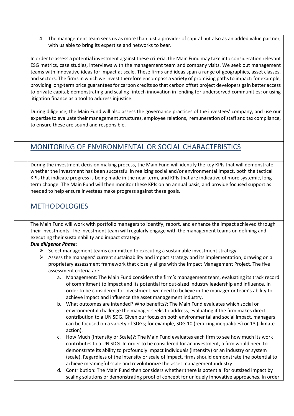4. The management team sees us as more than just a provider of capital but also as an added value partner, with us able to bring its expertise and networks to bear.

In order to assess a potential investment against these criteria, the Main Fund may take into consideration relevant ESG metrics, case studies, interviews with the management team and company visits. We seek out management teams with innovative ideas for impact at scale. These firms and ideas span a range of geographies, asset classes, and sectors. The firms in which we invest therefore encompass a variety of promising paths to impact: for example, providing long-term price guaranteesfor carbon credits so that carbon offset project developers gain better access to private capital; demonstrating and scaling fintech innovation in lending for underserved communities; or using litigation finance as a tool to address injustice.

During diligence, the Main Fund will also assess the governance practices of the investees' company, and use our expertise to evaluate their management structures, employee relations, remuneration of staff and tax compliance, to ensure these are sound and responsible.

## MONITORING OF ENVIRONMENTAL OR SOCIAL CHARACTERISTICS

During the investment decision making process, the Main Fund will identify the key KPIs that will demonstrate whether the investment has been successful in realizing social and/or environmental impact, both the tactical KPIs that indicate progress is being made in the near term, and KPIs that are indicative of more systemic, long term change. The Main Fund will then monitor these KPIs on an annual basis, and provide focused support as needed to help ensure investees make progress against these goals.

## **METHODOLOGIES**

The Main Fund will work with portfolio managers to identify, report, and enhance the impact achieved through their investments. The investment team will regularly engage with the management teams on defining and executing their sustainability and impact strategy:

## *Due diligence Phase*:

- $\triangleright$  Select management teams committed to executing a sustainable investment strategy
- $\triangleright$  Assess the managers' current sustainability and impact strategy and its implementation, drawing on a proprietary assessment framework that closely aligns with the Impact Management Project. The five assessment criteria are:
	- a. Management: The Main Fund considers the firm's management team, evaluating its track record of commitment to impact and its potential for out-sized industry leadership and influence. In order to be considered for investment, we need to believe in the manager or team's ability to achieve impact and influence the asset management industry.
	- b. What outcomes are intended? Who benefits?: The Main Fund evaluates which social or environmental challenge the manager seeks to address, evaluating if the firm makes direct contribution to a UN SDG. Given our focus on both environmental and social impact, managers can be focused on a variety of SDGs; for example, SDG 10 (reducing inequalities) or 13 (climate action).
	- c. How Much (Intensity or Scale)?: The Main Fund evaluates each firm to see how much its work contributes to a UN SDG. In order to be considered for an investment, a firm would need to demonstrate its ability to profoundly impact individuals (intensity) or an industry or system (scale). Regardless of the intensity or scale of impact, firms should demonstrate the potential to achieve meaningful scale and revolutionize the asset management industry.
	- d. Contribution: The Main Fund then considers whether there is potential for outsized impact by scaling solutions or demonstrating proof of concept for uniquely innovative approaches. In order